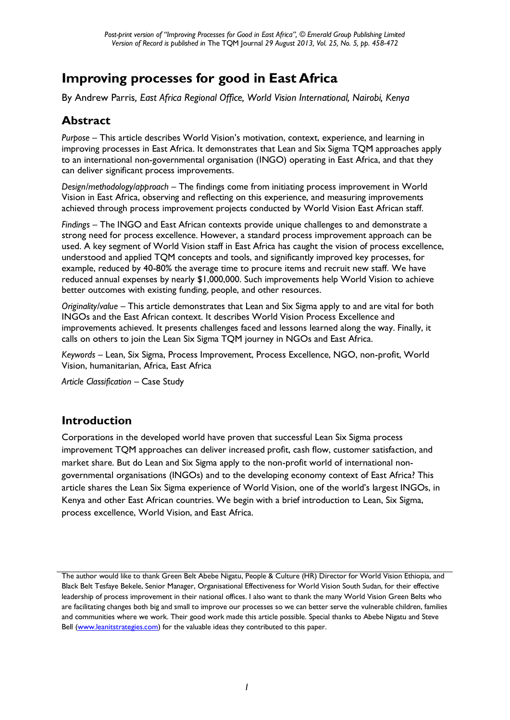# **Improving processes for good in East Africa**

By Andrew Parris*, East Africa Regional Office, World Vision International, Nairobi, Kenya*

## **Abstract**

*Purpose* – This article describes World Vision's motivation, context, experience, and learning in improving processes in East Africa. It demonstrates that Lean and Six Sigma TQM approaches apply to an international non-governmental organisation (INGO) operating in East Africa, and that they can deliver significant process improvements.

*Design/methodology/approach* – The findings come from initiating process improvement in World Vision in East Africa, observing and reflecting on this experience, and measuring improvements achieved through process improvement projects conducted by World Vision East African staff.

*Findings* – The INGO and East African contexts provide unique challenges to and demonstrate a strong need for process excellence. However, a standard process improvement approach can be used. A key segment of World Vision staff in East Africa has caught the vision of process excellence, understood and applied TQM concepts and tools, and significantly improved key processes, for example, reduced by 40-80% the average time to procure items and recruit new staff. We have reduced annual expenses by nearly \$1,000,000. Such improvements help World Vision to achieve better outcomes with existing funding, people, and other resources.

*Originality/value* – This article demonstrates that Lean and Six Sigma apply to and are vital for both INGOs and the East African context. It describes World Vision Process Excellence and improvements achieved. It presents challenges faced and lessons learned along the way. Finally, it calls on others to join the Lean Six Sigma TQM journey in NGOs and East Africa.

*Keywords* – Lean, Six Sigma, Process Improvement, Process Excellence, NGO, non-profit, World Vision, humanitarian, Africa, East Africa

*Article Classification* – Case Study

### **Introduction**

Corporations in the developed world have proven that successful Lean Six Sigma process improvement TQM approaches can deliver increased profit, cash flow, customer satisfaction, and market share. But do Lean and Six Sigma apply to the non-profit world of international nongovernmental organisations (INGOs) and to the developing economy context of East Africa? This article shares the Lean Six Sigma experience of World Vision, one of the world's largest INGOs, in Kenya and other East African countries. We begin with a brief introduction to Lean, Six Sigma, process excellence, World Vision, and East Africa.

The author would like to thank Green Belt Abebe Nigatu, People & Culture (HR) Director for World Vision Ethiopia, and Black Belt Tesfaye Bekele, Senior Manager, Organisational Effectiveness for World Vision South Sudan, for their effective leadership of process improvement in their national offices. I also want to thank the many World Vision Green Belts who are facilitating changes both big and small to improve our processes so we can better serve the vulnerable children, families and communities where we work. Their good work made this article possible. Special thanks to Abebe Nigatu and Steve Bell [\(www.leanitstrategies.com\)](http://www.leanitstrategies.com/) for the valuable ideas they contributed to this paper.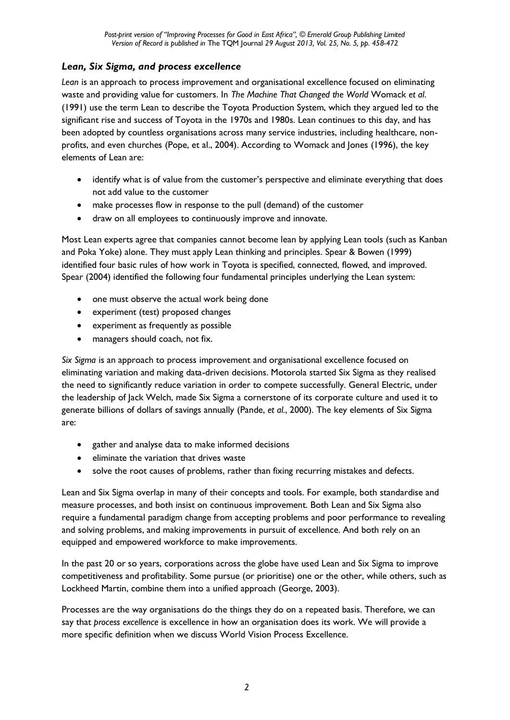#### *Lean, Six Sigma, and process excellence*

*Lean* is an approach to process improvement and organisational excellence focused on eliminating waste and providing value for customers. In *The Machine That Changed the World* Womack *et al*. (1991) use the term Lean to describe the Toyota Production System, which they argued led to the significant rise and success of Toyota in the 1970s and 1980s. Lean continues to this day, and has been adopted by countless organisations across many service industries, including healthcare, nonprofits, and even churches (Pope, et al., 2004). According to Womack and Jones (1996), the key elements of Lean are:

- identify what is of value from the customer's perspective and eliminate everything that does not add value to the customer
- make processes flow in response to the pull (demand) of the customer
- draw on all employees to continuously improve and innovate.

Most Lean experts agree that companies cannot become lean by applying Lean tools (such as Kanban and Poka Yoke) alone. They must apply Lean thinking and principles. Spear & Bowen (1999) identified four basic rules of how work in Toyota is specified, connected, flowed, and improved. Spear (2004) identified the following four fundamental principles underlying the Lean system:

- one must observe the actual work being done
- experiment (test) proposed changes
- experiment as frequently as possible
- managers should coach, not fix.

*Six Sigma* is an approach to process improvement and organisational excellence focused on eliminating variation and making data-driven decisions. Motorola started Six Sigma as they realised the need to significantly reduce variation in order to compete successfully. General Electric, under the leadership of Jack Welch, made Six Sigma a cornerstone of its corporate culture and used it to generate billions of dollars of savings annually (Pande, *et al.*, 2000). The key elements of Six Sigma are:

- gather and analyse data to make informed decisions
- eliminate the variation that drives waste
- solve the root causes of problems, rather than fixing recurring mistakes and defects.

Lean and Six Sigma overlap in many of their concepts and tools. For example, both standardise and measure processes, and both insist on continuous improvement. Both Lean and Six Sigma also require a fundamental paradigm change from accepting problems and poor performance to revealing and solving problems, and making improvements in pursuit of excellence. And both rely on an equipped and empowered workforce to make improvements.

In the past 20 or so years, corporations across the globe have used Lean and Six Sigma to improve competitiveness and profitability. Some pursue (or prioritise) one or the other, while others, such as Lockheed Martin, combine them into a unified approach (George, 2003).

Processes are the way organisations do the things they do on a repeated basis. Therefore, we can say that *process excellence* is excellence in how an organisation does its work. We will provide a more specific definition when we discuss World Vision Process Excellence.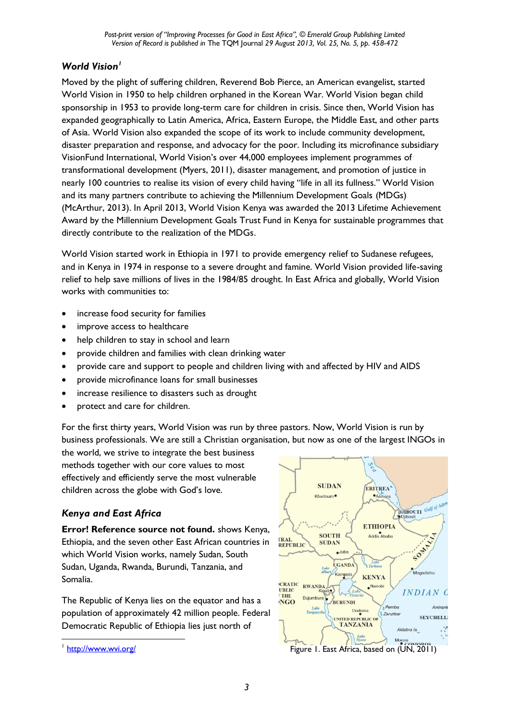#### *World Vision<sup>1</sup>*

Moved by the plight of suffering children, Reverend Bob Pierce, an American evangelist, started World Vision in 1950 to help children orphaned in the Korean War. World Vision began child sponsorship in 1953 to provide long-term care for children in crisis. Since then, World Vision has expanded geographically to Latin America, Africa, Eastern Europe, the Middle East, and other parts of Asia. World Vision also expanded the scope of its work to include community development, disaster preparation and response, and advocacy for the poor. Including its microfinance subsidiary VisionFund International, World Vision's over 44,000 employees implement programmes of transformational development (Myers, 2011), disaster management, and promotion of justice in nearly 100 countries to realise its vision of every child having "life in all its fullness." World Vision and its many partners contribute to achieving the Millennium Development Goals (MDGs) (McArthur, 2013). In April 2013, World Vision Kenya was awarded the 2013 Lifetime Achievement Award by the Millennium Development Goals Trust Fund in Kenya for sustainable programmes that directly contribute to the realization of the MDGs.

World Vision started work in Ethiopia in 1971 to provide emergency relief to Sudanese refugees, and in Kenya in 1974 in response to a severe drought and famine. World Vision provided life-saving relief to help save millions of lives in the 1984/85 drought. In East Africa and globally, World Vision works with communities to:

- increase food security for families
- improve access to healthcare
- help children to stay in school and learn
- provide children and families with clean drinking water
- provide care and support to people and children living with and affected by HIV and AIDS
- provide microfinance loans for small businesses
- increase resilience to disasters such as drought
- protect and care for children.

For the first thirty years, World Vision was run by three pastors. Now, World Vision is run by business professionals. We are still a Christian organisation, but now as one of the largest INGOs in

the world, we strive to integrate the best business methods together with our core values to most effectively and efficiently serve the most vulnerable children across the globe with God's love.

#### *Kenya and East Africa*

**Error! Reference source not found.** shows Kenya, Ethiopia, and the seven other East African countries in which World Vision works, namely Sudan, South Sudan, Uganda, Rwanda, Burundi, Tanzania, and Somalia.

The Republic of Kenya lies on the equator and has a population of approximately 42 million people. Federal Democratic Republic of Ethiopia lies just north of

-



http://www.wvi.org/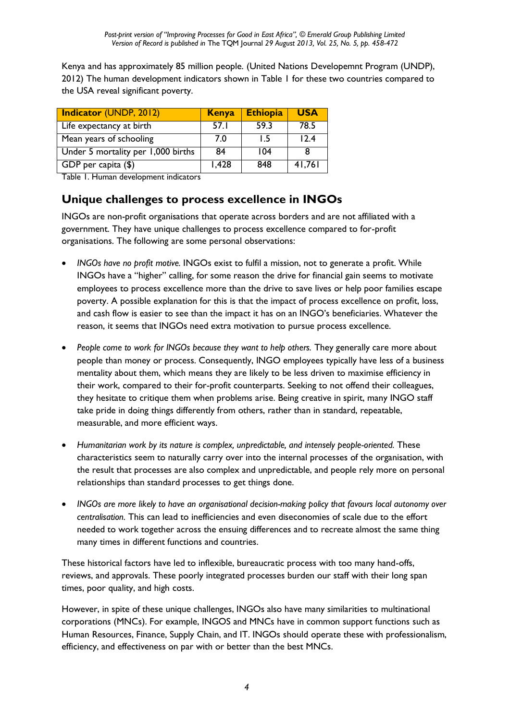Kenya and has approximately 85 million people. (United Nations Developemnt Program (UNDP), 2012) The human development indicators shown in [Table 1](#page-3-0) for these two countries compared to the USA reveal significant poverty.

| Indicator (UNDP, 2012)             | <b>Kenya</b> | <b>Ethiopia</b> | <b>USA</b> |
|------------------------------------|--------------|-----------------|------------|
| Life expectancy at birth           | 57.1         | 59.3            | 78.5       |
| Mean years of schooling            | 7.0          | 1.5             | 12.4       |
| Under 5 mortality per 1,000 births | 84           | 104             |            |
| $\sqrt{GDP}$ per capita $(\$)$     | 1,428        | 848             | 41,761     |

<span id="page-3-0"></span>Table 1. Human development indicators

## **Unique challenges to process excellence in INGOs**

INGOs are non-profit organisations that operate across borders and are not affiliated with a government. They have unique challenges to process excellence compared to for-profit organisations. The following are some personal observations:

- *INGOs have no profit motive.* INGOs exist to fulfil a mission, not to generate a profit. While INGOs have a "higher" calling, for some reason the drive for financial gain seems to motivate employees to process excellence more than the drive to save lives or help poor families escape poverty. A possible explanation for this is that the impact of process excellence on profit, loss, and cash flow is easier to see than the impact it has on an INGO's beneficiaries. Whatever the reason, it seems that INGOs need extra motivation to pursue process excellence.
- *People come to work for INGOs because they want to help others.* They generally care more about people than money or process. Consequently, INGO employees typically have less of a business mentality about them, which means they are likely to be less driven to maximise efficiency in their work, compared to their for-profit counterparts. Seeking to not offend their colleagues, they hesitate to critique them when problems arise. Being creative in spirit, many INGO staff take pride in doing things differently from others, rather than in standard, repeatable, measurable, and more efficient ways.
- *Humanitarian work by its nature is complex, unpredictable, and intensely people-oriented.* These characteristics seem to naturally carry over into the internal processes of the organisation, with the result that processes are also complex and unpredictable, and people rely more on personal relationships than standard processes to get things done.
- *INGOs are more likely to have an organisational decision-making policy that favours local autonomy over centralisation.* This can lead to inefficiencies and even diseconomies of scale due to the effort needed to work together across the ensuing differences and to recreate almost the same thing many times in different functions and countries.

These historical factors have led to inflexible, bureaucratic process with too many hand-offs, reviews, and approvals. These poorly integrated processes burden our staff with their long span times, poor quality, and high costs.

However, in spite of these unique challenges, INGOs also have many similarities to multinational corporations (MNCs). For example, INGOS and MNCs have in common support functions such as Human Resources, Finance, Supply Chain, and IT. INGOs should operate these with professionalism, efficiency, and effectiveness on par with or better than the best MNCs.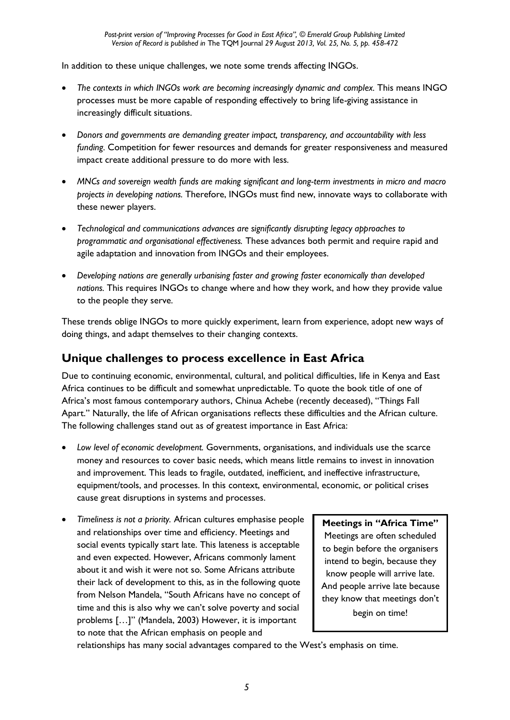In addition to these unique challenges, we note some trends affecting INGOs.

- *The contexts in which INGOs work are becoming increasingly dynamic and complex.* This means INGO processes must be more capable of responding effectively to bring life-giving assistance in increasingly difficult situations.
- *Donors and governments are demanding greater impact, transparency, and accountability with less funding.* Competition for fewer resources and demands for greater responsiveness and measured impact create additional pressure to do more with less.
- *MNCs and sovereign wealth funds are making significant and long-term investments in micro and macro projects in developing nations.* Therefore, INGOs must find new, innovate ways to collaborate with these newer players.
- *Technological and communications advances are significantly disrupting legacy approaches to programmatic and organisational effectiveness.* These advances both permit and require rapid and agile adaptation and innovation from INGOs and their employees.
- *Developing nations are generally urbanising faster and growing faster economically than developed nations.* This requires INGOs to change where and how they work, and how they provide value to the people they serve.

These trends oblige INGOs to more quickly experiment, learn from experience, adopt new ways of doing things, and adapt themselves to their changing contexts.

### **Unique challenges to process excellence in East Africa**

Due to continuing economic, environmental, cultural, and political difficulties, life in Kenya and East Africa continues to be difficult and somewhat unpredictable. To quote the book title of one of Africa's most famous contemporary authors, Chinua Achebe (recently deceased), "Things Fall Apart." Naturally, the life of African organisations reflects these difficulties and the African culture. The following challenges stand out as of greatest importance in East Africa:

- *Low level of economic development.* Governments, organisations, and individuals use the scarce money and resources to cover basic needs, which means little remains to invest in innovation and improvement. This leads to fragile, outdated, inefficient, and ineffective infrastructure, equipment/tools, and processes. In this context, environmental, economic, or political crises cause great disruptions in systems and processes.
- *Timeliness is not a priority.* African cultures emphasise people and relationships over time and efficiency. Meetings and social events typically start late. This lateness is acceptable and even expected. However, Africans commonly lament about it and wish it were not so. Some Africans attribute their lack of development to this, as in the following quote from Nelson Mandela, "South Africans have no concept of time and this is also why we can't solve poverty and social problems […]" (Mandela, 2003) However, it is important to note that the African emphasis on people and

**Meetings in "Africa Time"** Meetings are often scheduled to begin before the organisers intend to begin, because they know people will arrive late. And people arrive late because they know that meetings don't begin on time!

relationships has many social advantages compared to the West's emphasis on time.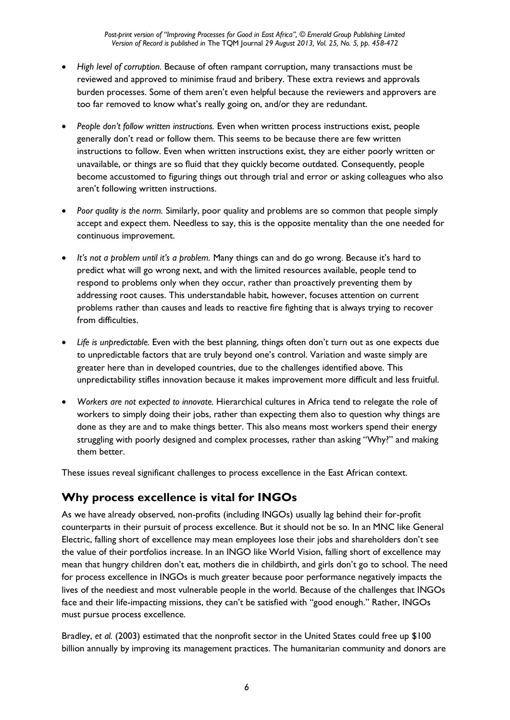- *High level of corruption.* Because of often rampant corruption, many transactions must be reviewed and approved to minimise fraud and bribery. These extra reviews and approvals burden processes. Some of them aren't even helpful because the reviewers and approvers are too far removed to know what's really going on, and/or they are redundant.
- *People don't follow written instructions.* Even when written process instructions exist, people generally don't read or follow them. This seems to be because there are few written instructions to follow. Even when written instructions exist, they are either poorly written or unavailable, or things are so fluid that they quickly become outdated. Consequently, people become accustomed to figuring things out through trial and error or asking colleagues who also aren't following written instructions.
- *Poor quality is the norm.* Similarly, poor quality and problems are so common that people simply accept and expect them. Needless to say, this is the opposite mentality than the one needed for continuous improvement.
- *It's not a problem until it's a problem.* Many things can and do go wrong. Because it's hard to predict what will go wrong next, and with the limited resources available, people tend to respond to problems only when they occur, rather than proactively preventing them by addressing root causes. This understandable habit, however, focuses attention on current problems rather than causes and leads to reactive fire fighting that is always trying to recover from difficulties.
- *Life is unpredictable.* Even with the best planning, things often don't turn out as one expects due to unpredictable factors that are truly beyond one's control. Variation and waste simply are greater here than in developed countries, due to the challenges identified above. This unpredictability stifles innovation because it makes improvement more difficult and less fruitful.
- *Workers are not expected to innovate.* Hierarchical cultures in Africa tend to relegate the role of workers to simply doing their jobs, rather than expecting them also to question why things are done as they are and to make things better. This also means most workers spend their energy struggling with poorly designed and complex processes, rather than asking "Why?" and making them better.

These issues reveal significant challenges to process excellence in the East African context.

## **Why process excellence is vital for INGOs**

As we have already observed, non-profits (including INGOs) usually lag behind their for-profit counterparts in their pursuit of process excellence. But it should not be so. In an MNC like General Electric, falling short of excellence may mean employees lose their jobs and shareholders don't see the value of their portfolios increase. In an INGO like World Vision, falling short of excellence may mean that hungry children don't eat, mothers die in childbirth, and girls don't go to school. The need for process excellence in INGOs is much greater because poor performance negatively impacts the lives of the neediest and most vulnerable people in the world. Because of the challenges that INGOs face and their life-impacting missions, they can't be satisfied with "good enough." Rather, INGOs must pursue process excellence.

Bradley, *et al.* (2003) estimated that the nonprofit sector in the United States could free up \$100 billion annually by improving its management practices. The humanitarian community and donors are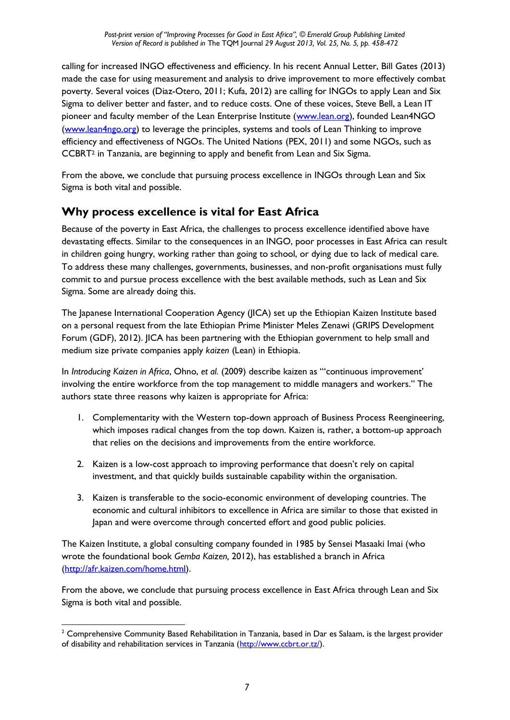calling for increased INGO effectiveness and efficiency. In his recent Annual Letter, Bill Gates (2013) made the case for using measurement and analysis to drive improvement to more effectively combat poverty. Several voices (Diaz-Otero, 2011; Kufa, 2012) are calling for INGOs to apply Lean and Six Sigma to deliver better and faster, and to reduce costs. One of these voices, Steve Bell, a Lean IT pioneer and faculty member of the Lean Enterprise Institute [\(www.lean.org\)](http://www.lean.org/), founded Lean4NGO [\(www.lean4ngo.org\)](http://www.lean4ngo.org/) to leverage the principles, systems and tools of Lean Thinking to improve efficiency and effectiveness of NGOs. The United Nations (PEX, 2011) and some NGOs, such as CCBRT<sup>2</sup> in Tanzania, are beginning to apply and benefit from Lean and Six Sigma.

From the above, we conclude that pursuing process excellence in INGOs through Lean and Six Sigma is both vital and possible.

## **Why process excellence is vital for East Africa**

Because of the poverty in East Africa, the challenges to process excellence identified above have devastating effects. Similar to the consequences in an INGO, poor processes in East Africa can result in children going hungry, working rather than going to school, or dying due to lack of medical care. To address these many challenges, governments, businesses, and non-profit organisations must fully commit to and pursue process excellence with the best available methods, such as Lean and Six Sigma. Some are already doing this.

The Japanese International Cooperation Agency (JICA) set up the Ethiopian Kaizen Institute based on a personal request from the late Ethiopian Prime Minister Meles Zenawi (GRIPS Development Forum (GDF), 2012). JICA has been partnering with the Ethiopian government to help small and medium size private companies apply *kaizen* (Lean) in Ethiopia.

In *Introducing Kaizen in Africa*, Ohno, *et al.* (2009) describe kaizen as "'continuous improvement' involving the entire workforce from the top management to middle managers and workers." The authors state three reasons why kaizen is appropriate for Africa:

- 1. Complementarity with the Western top-down approach of Business Process Reengineering, which imposes radical changes from the top down. Kaizen is, rather, a bottom-up approach that relies on the decisions and improvements from the entire workforce.
- 2. Kaizen is a low-cost approach to improving performance that doesn't rely on capital investment, and that quickly builds sustainable capability within the organisation.
- 3. Kaizen is transferable to the socio-economic environment of developing countries. The economic and cultural inhibitors to excellence in Africa are similar to those that existed in Japan and were overcome through concerted effort and good public policies.

The Kaizen Institute, a global consulting company founded in 1985 by Sensei Masaaki Imai (who wrote the foundational book *Gemba Kaizen,* 2012), has established a branch in Africa [\(http://afr.kaizen.com/home.html\)](http://afr.kaizen.com/home.html).

From the above, we conclude that pursuing process excellence in East Africa through Lean and Six Sigma is both vital and possible.

-

<sup>&</sup>lt;sup>2</sup> Comprehensive Community Based Rehabilitation in Tanzania, based in Dar es Salaam, is the largest provider of disability and rehabilitation services in Tanzania [\(http://www.ccbrt.or.tz/\)](http://www.ccbrt.or.tz/).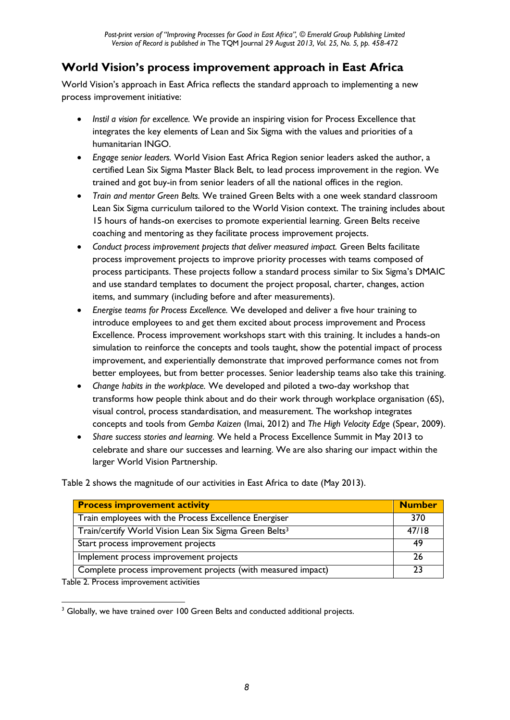## **World Vision's process improvement approach in East Africa**

World Vision's approach in East Africa reflects the standard approach to implementing a new process improvement initiative:

- *Instil a vision for excellence.* We provide an inspiring vision for Process Excellence that integrates the key elements of Lean and Six Sigma with the values and priorities of a humanitarian INGO.
- *Engage senior leaders.* World Vision East Africa Region senior leaders asked the author, a certified Lean Six Sigma Master Black Belt, to lead process improvement in the region. We trained and got buy-in from senior leaders of all the national offices in the region.
- *Train and mentor Green Belts.* We trained Green Belts with a one week standard classroom Lean Six Sigma curriculum tailored to the World Vision context. The training includes about 15 hours of hands-on exercises to promote experiential learning. Green Belts receive coaching and mentoring as they facilitate process improvement projects.
- *Conduct process improvement projects that deliver measured impact.* Green Belts facilitate process improvement projects to improve priority processes with teams composed of process participants. These projects follow a standard process similar to Six Sigma's DMAIC and use standard templates to document the project proposal, charter, changes, action items, and summary (including before and after measurements).
- *Energise teams for Process Excellence.* We developed and deliver a five hour training to introduce employees to and get them excited about process improvement and Process Excellence. Process improvement workshops start with this training. It includes a hands-on simulation to reinforce the concepts and tools taught, show the potential impact of process improvement, and experientially demonstrate that improved performance comes not from better employees, but from better processes. Senior leadership teams also take this training.
- *Change habits in the workplace.* We developed and piloted a two-day workshop that transforms how people think about and do their work through workplace organisation (6S), visual control, process standardisation, and measurement. The workshop integrates concepts and tools from *Gemba Kaizen* (Imai, 2012) and *The High Velocity Edge* (Spear, 2009).
- *Share success stories and learning.* We held a Process Excellence Summit in May 2013 to celebrate and share our successes and learning. We are also sharing our impact within the larger World Vision Partnership.

| <b>Process improvement activity</b>                                |       |
|--------------------------------------------------------------------|-------|
| Train employees with the Process Excellence Energiser              | 370   |
| Train/certify World Vision Lean Six Sigma Green Belts <sup>3</sup> | 47/18 |
| Start process improvement projects                                 | 49    |
| Implement process improvement projects                             | 26    |
| Complete process improvement projects (with measured impact)       | つこ    |

[Table 2](#page-7-0) shows the magnitude of our activities in East Africa to date (May 2013).

<span id="page-7-0"></span>Table 2. Process improvement activities

-

<sup>3</sup> Globally, we have trained over 100 Green Belts and conducted additional projects.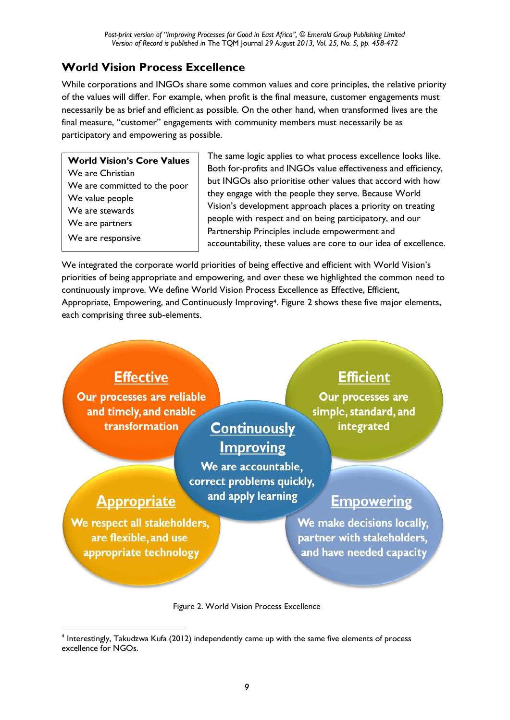## **World Vision Process Excellence**

While corporations and INGOs share some common values and core principles, the relative priority of the values will differ. For example, when profit is the final measure, customer engagements must necessarily be as brief and efficient as possible. On the other hand, when transformed lives are the final measure, "customer" engagements with community members must necessarily be as participatory and empowering as possible.

**World Vision's Core Values** We are Christian We are committed to the poor We value people We are stewards We are partners We are responsive

The same logic applies to what process excellence looks like. Both for-profits and INGOs value effectiveness and efficiency, but INGOs also prioritise other values that accord with how they engage with the people they serve. Because World Vision's development approach places a priority on treating people with respect and on being participatory, and our Partnership Principles include empowerment and accountability, these values are core to our idea of excellence.

We integrated the corporate world priorities of being effective and efficient with World Vision's priorities of being appropriate and empowering, and over these we highlighted the common need to continuously improve. We define World Vision Process Excellence as Effective, Efficient, Appropriate, Empowering, and Continuously Improving4. [Figure 2](#page-8-0) shows these five major elements, each comprising three sub-elements.

**Effective** Our processes are reliable and timely, and enable transformation

# **Continuously Improving**

We are accountable, correct problems quickly, and apply learning

# **Appropriate**

We respect all stakeholders, are flexible, and use appropriate technology

**Efficient** 

Our processes are simple, standard, and integrated

# **Empowering**

We make decisions locally, partner with stakeholders, and have needed capacity

<span id="page-8-0"></span>Figure 2. World Vision Process Excellence

<sup>-</sup><sup>4</sup> Interestingly, Takudzwa Kufa (2012) independently came up with the same five elements of process excellence for NGOs.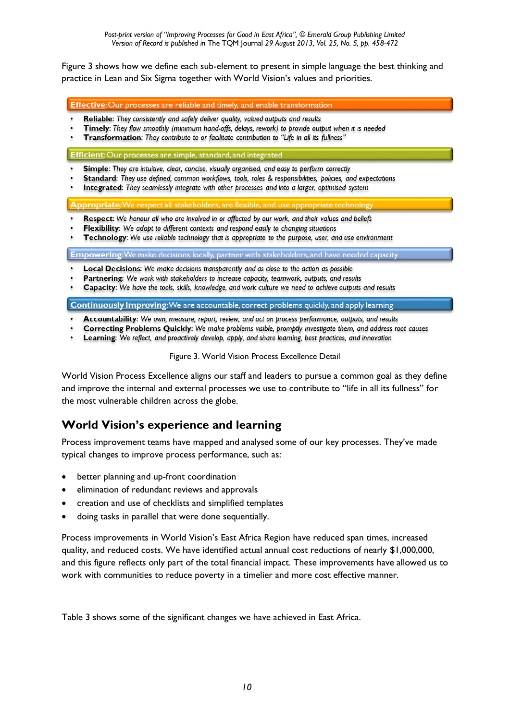[Figure 3](#page-9-0) shows how we define each sub-element to present in simple language the best thinking and practice in Lean and Six Sigma together with World Vision's values and priorities.

Effective: Our processes are reliable and timely, and enable transformation

- Reliable: They consistently and safely deliver quality, valued outputs and results
- Timely: They flow smoothly (minimum hand-offs, delays, rework) to provide output when it is needed
- Transformation: They contribute to or facilitate contribution to "Life in all its fullness"

Efficient: Our processes are simple, standard, and integrated

- Simple: They are intuitive, clear, concise, visually organised, and easy to perform correctly
- Standard: They use defined, common workflows, tools, roles & responsibilities, policies, and expectations
- Integrated: They seamlessly integrate with other processes and into a larger, optimised system

We respect all stakeholders, are flexible, and use appropi

- Respect: We honour all who are involved in or affected by our work, and their values and beliefs
- Flexibility: We adapt to different contexts and respond easily to changing situations
- Technology: We use reliable technology that is appropriate to the purpose, user, and use environment

Empowering: We make decisions locally, partner with stakeholders, and have needed capacity

- Local Decisions: We make decisions transparently and as close to the action as possible
- Partnering: We work with stakeholders to increase capacity, teamwork, outputs, and results
- Capacity: We have the tools, skills, knowledge, and work culture we need to achieve outputs and results

Continuously Improving: We are accountable, correct problems quickly, and apply learning

- Accountability: We own, measure, report, review, and act on process performance, outputs, and results
- Correcting Problems Quickly: We make problems visible, promptly investigate them, and address root causes
- Learning: We reflect, and proactively develop, apply, and share learning, best practices, and innovation

#### Figure 3. World Vision Process Excellence Detail

<span id="page-9-0"></span>World Vision Process Excellence aligns our staff and leaders to pursue a common goal as they define and improve the internal and external processes we use to contribute to "life in all its fullness" for the most vulnerable children across the globe.

## **World Vision's experience and learning**

Process improvement teams have mapped and analysed some of our key processes. They've made typical changes to improve process performance, such as:

- better planning and up-front coordination
- elimination of redundant reviews and approvals
- creation and use of checklists and simplified templates
- doing tasks in parallel that were done sequentially.

Process improvements in World Vision's East Africa Region have reduced span times, increased quality, and reduced costs. We have identified actual annual cost reductions of nearly \$1,000,000, and this figure reflects only part of the total financial impact. These improvements have allowed us to work with communities to reduce poverty in a timelier and more cost effective manner.

Table 3 shows some of the significant changes we have achieved in East Africa.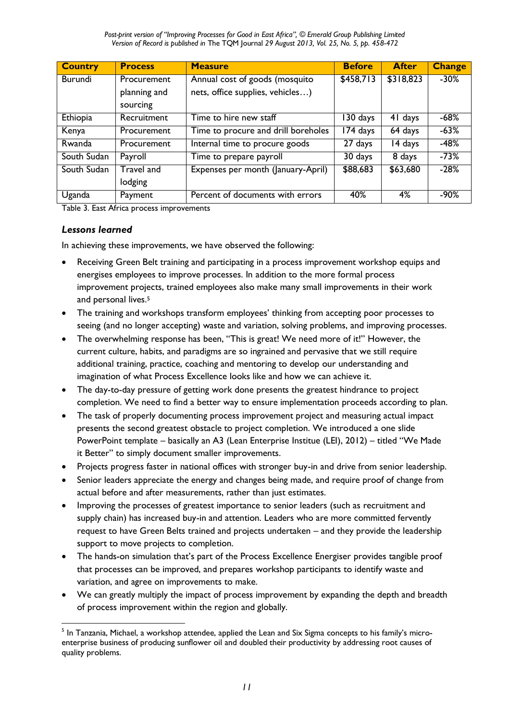| <b>Country</b> | <b>Process</b> | <b>Measure</b>                      | <b>Before</b> | <b>After</b>         | <b>Change</b> |
|----------------|----------------|-------------------------------------|---------------|----------------------|---------------|
| <b>Burundi</b> | Procurement    | Annual cost of goods (mosquito      | \$458,713     | \$318,823            | $-30%$        |
|                | planning and   | nets, office supplies, vehicles)    |               |                      |               |
|                | sourcing       |                                     |               |                      |               |
| Ethiopia       | Recruitment    | Time to hire new staff              | 130 days      | 41 days              | $-68%$        |
| Kenya          | Procurement    | Time to procure and drill boreholes | 174 days      | 64 days              | $-63%$        |
| Rwanda         | Procurement    | Internal time to procure goods      | 27 days       | $\overline{14}$ days | $-48%$        |
| South Sudan    | Payroll        | Time to prepare payroll             | 30 days       | 8 days               | $-73%$        |
| South Sudan    | Travel and     | Expenses per month (January-April)  | \$88,683      | \$63,680             | $-28%$        |
|                | lodging        |                                     |               |                      |               |
| Uganda         | Payment        | Percent of documents with errors    | 40%           | 4%                   | $-90\%$       |

Table 3. East Africa process improvements

#### *Lessons learned*

-

In achieving these improvements, we have observed the following:

- Receiving Green Belt training and participating in a process improvement workshop equips and energises employees to improve processes. In addition to the more formal process improvement projects, trained employees also make many small improvements in their work and personal lives.<sup>5</sup>
- The training and workshops transform employees' thinking from accepting poor processes to seeing (and no longer accepting) waste and variation, solving problems, and improving processes.
- The overwhelming response has been, "This is great! We need more of it!" However, the current culture, habits, and paradigms are so ingrained and pervasive that we still require additional training, practice, coaching and mentoring to develop our understanding and imagination of what Process Excellence looks like and how we can achieve it.
- The day-to-day pressure of getting work done presents the greatest hindrance to project completion. We need to find a better way to ensure implementation proceeds according to plan.
- The task of properly documenting process improvement project and measuring actual impact presents the second greatest obstacle to project completion. We introduced a one slide PowerPoint template – basically an A3 (Lean Enterprise Institue (LEI), 2012) – titled "We Made it Better" to simply document smaller improvements.
- Projects progress faster in national offices with stronger buy-in and drive from senior leadership.
- Senior leaders appreciate the energy and changes being made, and require proof of change from actual before and after measurements, rather than just estimates.
- Improving the processes of greatest importance to senior leaders (such as recruitment and supply chain) has increased buy-in and attention. Leaders who are more committed fervently request to have Green Belts trained and projects undertaken – and they provide the leadership support to move projects to completion.
- The hands-on simulation that's part of the Process Excellence Energiser provides tangible proof that processes can be improved, and prepares workshop participants to identify waste and variation, and agree on improvements to make.
- We can greatly multiply the impact of process improvement by expanding the depth and breadth of process improvement within the region and globally.

<sup>&</sup>lt;sup>5</sup> In Tanzania, Michael, a workshop attendee, applied the Lean and Six Sigma concepts to his family's microenterprise business of producing sunflower oil and doubled their productivity by addressing root causes of quality problems.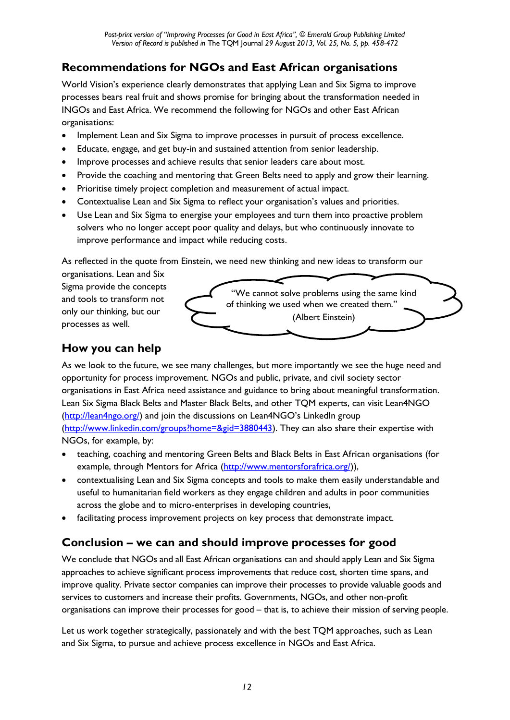# **Recommendations for NGOs and East African organisations**

World Vision's experience clearly demonstrates that applying Lean and Six Sigma to improve processes bears real fruit and shows promise for bringing about the transformation needed in INGOs and East Africa. We recommend the following for NGOs and other East African organisations:

- Implement Lean and Six Sigma to improve processes in pursuit of process excellence.
- Educate, engage, and get buy-in and sustained attention from senior leadership.
- Improve processes and achieve results that senior leaders care about most.
- Provide the coaching and mentoring that Green Belts need to apply and grow their learning.
- Prioritise timely project completion and measurement of actual impact.
- Contextualise Lean and Six Sigma to reflect your organisation's values and priorities.
- Use Lean and Six Sigma to energise your employees and turn them into proactive problem solvers who no longer accept poor quality and delays, but who continuously innovate to improve performance and impact while reducing costs.

As reflected in the quote from Einstein, we need new thinking and new ideas to transform our

organisations. Lean and Six Sigma provide the concepts and tools to transform not only our thinking, but our processes as well.



# **How you can help**

As we look to the future, we see many challenges, but more importantly we see the huge need and opportunity for process improvement. NGOs and public, private, and civil society sector organisations in East Africa need assistance and guidance to bring about meaningful transformation. Lean Six Sigma Black Belts and Master Black Belts, and other TQM experts, can visit Lean4NGO [\(http://lean4ngo.org/](http://lean4ngo.org/)) and join the discussions on Lean4NGO's LinkedIn group [\(http://www.linkedin.com/groups?home=&gid=3880443\)](http://www.linkedin.com/groups?home=&gid=3880443). They can also share their expertise with NGOs, for example, by:

- teaching, coaching and mentoring Green Belts and Black Belts in East African organisations (for example, through Mentors for Africa [\(http://www.mentorsforafrica.org/\)](http://www.mentorsforafrica.org/)),
- contextualising Lean and Six Sigma concepts and tools to make them easily understandable and useful to humanitarian field workers as they engage children and adults in poor communities across the globe and to micro-enterprises in developing countries,
- facilitating process improvement projects on key process that demonstrate impact.

## **Conclusion – we can and should improve processes for good**

We conclude that NGOs and all East African organisations can and should apply Lean and Six Sigma approaches to achieve significant process improvements that reduce cost, shorten time spans, and improve quality. Private sector companies can improve their processes to provide valuable goods and services to customers and increase their profits. Governments, NGOs, and other non-profit organisations can improve their processes for good – that is, to achieve their mission of serving people.

Let us work together strategically, passionately and with the best TQM approaches, such as Lean and Six Sigma, to pursue and achieve process excellence in NGOs and East Africa.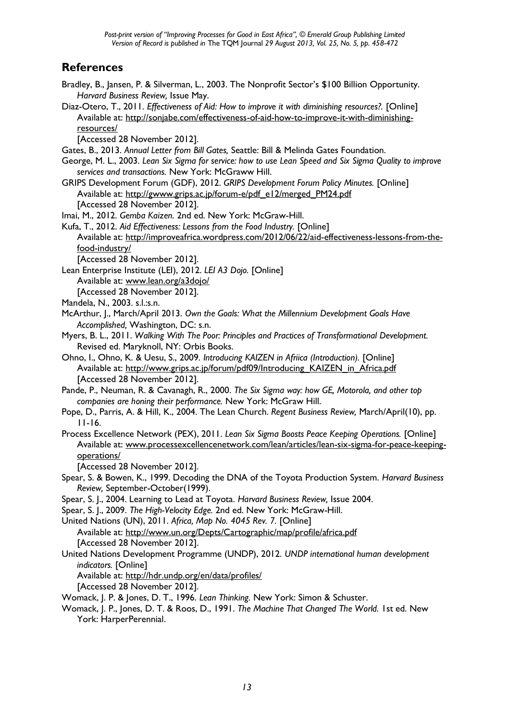## **References**

- Bradley, B., Jansen, P. & Silverman, L., 2003. The Nonprofit Sector's \$100 Billion Opportunity. *Harvard Business Review,* Issue May.
- Diaz-Otero, T., 2011. *Effectiveness of Aid: How to improve it with diminishing resources?.* [Online] Available at: http://sonjabe.com/effectiveness-of-aid-how-to-improve-it-with-diminishingresources/
	- [Accessed 28 November 2012].
- Gates, B., 2013. *Annual Letter from Bill Gates,* Seattle: Bill & Melinda Gates Foundation.
- George, M. L., 2003. *Lean Six Sigma for service: how to use Lean Speed and Six Sigma Quality to improve services and transactions.* New York: McGraww Hill.
- GRIPS Development Forum (GDF), 2012. *GRIPS Development Forum Policy Minutes.* [Online] Available at: http://gwww.grips.ac.jp/forum-e/pdf\_e12/merged\_PM24.pdf [Accessed 28 November 2012].
- Imai, M., 2012. *Gemba Kaizen.* 2nd ed. New York: McGraw-Hill.
- Kufa, T., 2012. *Aid Effectiveness: Lessons from the Food Industry.* [Online] Available at: http://improveafrica.wordpress.com/2012/06/22/aid-effectiveness-lessons-from-thefood-industry/
	- [Accessed 28 November 2012].
- Lean Enterprise Institute (LEI), 2012. *LEI A3 Dojo.* [Online]
	- Available at: www.lean.org/a3dojo/
	- [Accessed 28 November 2012].
- Mandela, N., 2003. s.l.:s.n.
- McArthur, J., March/April 2013. *Own the Goals: What the Millennium Development Goals Have Accomplished,* Washington, DC: s.n.
- Myers, B. L., 2011. *Walking With The Poor: Principles and Practices of Transformational Development.*  Revised ed. Maryknoll, NY: Orbis Books.
- Ohno, I., Ohno, K. & Uesu, S., 2009. *Introducing KAIZEN in Afriica (Introduction).* [Online] Available at: http://www.grips.ac.jp/forum/pdf09/Introducing\_KAIZEN\_in\_Africa.pdf [Accessed 28 November 2012].
- Pande, P., Neuman, R. & Cavanagh, R., 2000. *The Six Sigma way: how GE, Motorola, and other top companies are honing their performance.* New York: McGraw Hill.
- Pope, D., Parris, A. & Hill, K., 2004. The Lean Church. *Regent Business Review,* March/April(10), pp. 11-16.
- Process Excellence Network (PEX), 2011. *Lean Six Sigma Boosts Peace Keeping Operations.* [Online] Available at: www.processexcellencenetwork.com/lean/articles/lean-six-sigma-for-peace-keepingoperations/

[Accessed 28 November 2012].

- Spear, S. & Bowen, K., 1999. Decoding the DNA of the Toyota Production System. *Harvard Business Review,* September-October(1999).
- Spear, S. J., 2004. Learning to Lead at Toyota. *Harvard Business Review,* Issue 2004.
- Spear, S. J., 2009. *The High-Velocity Edge.* 2nd ed. New York: McGraw-Hill.
- United Nations (UN), 2011. *Africa, Map No. 4045 Rev. 7.* [Online]
	- Available at: http://www.un.org/Depts/Cartographic/map/profile/africa.pdf [Accessed 28 November 2012].
- United Nations Development Programme (UNDP), 2012. *UNDP international human development indicators.* [Online]
	- Available at: http://hdr.undp.org/en/data/profiles/
	- [Accessed 28 November 2012].
- Womack, J. P. & Jones, D. T., 1996. *Lean Thinking.* New York: Simon & Schuster.
- Womack, J. P., Jones, D. T. & Roos, D., 1991. *The Machine That Changed The World.* 1st ed. New York: HarperPerennial.